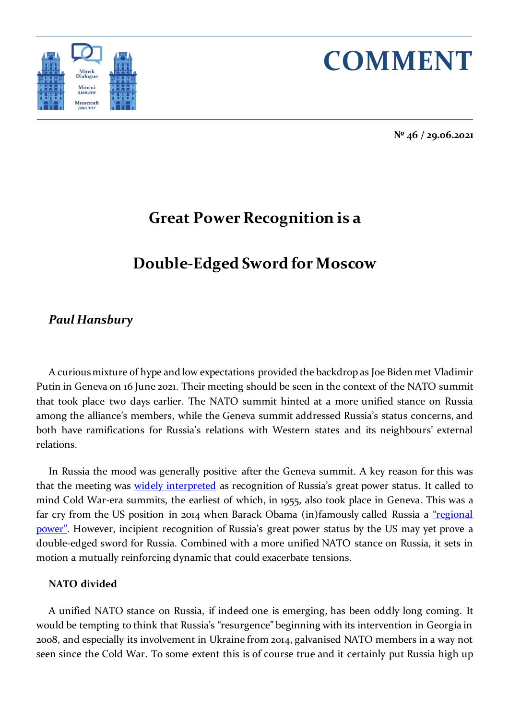



**№ 46 / 29.06.2021**

# **Great Power Recognition is a**

# **Double-Edged Sword for Moscow**

## *Paul Hansbury*

A curious mixture of hype and low expectations provided the backdrop as Joe Biden met Vladimir Putin in Geneva on 16 June 2021. Their meeting should be seen in the context of the NATO summit that took place two days earlier. The NATO summit hinted at a more unified stance on Russia among the alliance's members, while the Geneva summit addressed Russia's status concerns, and both have ramifications for Russia's relations with Western states and its neighbours' external relations.

In Russia the mood was generally positive after the Geneva summit. A key reason for this was that the meeting was **widely [interpreted](https://www.nytimes.com/2021/06/17/world/europe/russia-putin-biden-summit.html)** as recognition of Russia's great power status. It called to mind Cold War-era summits, the earliest of which, in 1955, also took place in Geneva. This was a far cry from the US position in 2014 when Barack Obama (in)famously called Russia a "regional [power"](https://www.reuters.com/article/us-ukraine-crisis-russia-weakness-idUSBREA2O19J20140325). However, incipient recognition of Russia's great power status by the US may yet prove a double-edged sword for Russia. Combined with a more unified NATO stance on Russia, it sets in motion a mutually reinforcing dynamic that could exacerbate tensions.

#### **NATO divided**

A unified NATO stance on Russia, if indeed one is emerging, has been oddly long coming. It would be tempting to think that Russia's "resurgence" beginning with its intervention in Georgia in 2008, and especially its involvement in Ukraine from 2014, galvanised NATO members in a way not seen since the Cold War. To some extent this is of course true and it certainly put Russia high up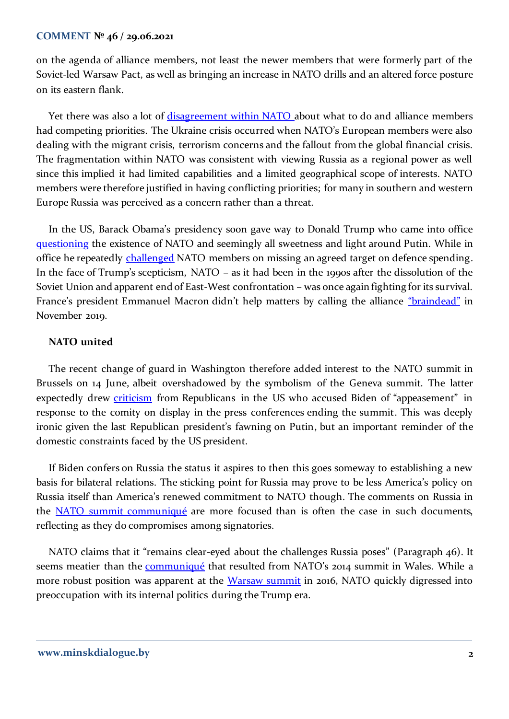#### **COMMENT № 46 / 29.06.2021**

on the agenda of alliance members, not least the newer members that were formerly part of the Soviet-led Warsaw Pact, as well as bringing an increase in NATO drills and an altered force posture on its eastern flank.

Yet there was also a lot of [disagreement within NATO](https://www.rferl.org/a/russia-europe-divisions-ukraine-czech-hungary-poland-slovakia/26569958.html) about what to do and alliance members had competing priorities. The Ukraine crisis occurred when NATO's European members were also dealing with the migrant crisis, terrorism concerns and the fallout from the global financial crisis. The fragmentation within NATO was consistent with viewing Russia as a regional power as well since this implied it had limited capabilities and a limited geographical scope of interests. NATO members were therefore justified in having conflicting priorities; for many in southern and western Europe Russia was perceived as a concern rather than a threat.

In the US, Barack Obama's presidency soon gave way to Donald Trump who came into office [questioning](https://www.bbc.co.uk/news/world-us-canada-38635181) the existence of NATO and seemingly all sweetness and light around Putin. While in office he repeatedly [challenged](https://www.diis.dk/en/research/donald-trump-and-the-battle-of-the-two-percent) NATO members on missing an agreed target on defence spending. In the face of Trump's scepticism, NATO – as it had been in the 1990s after the dissolution of the Soviet Union and apparent end of East-West confrontation – was once again fighting for its survival. France's president Emmanuel Macron didn't help matters by calling the alliance ["braindead"](https://www.bbc.co.uk/news/world-europe-50335257) in November 2019.

### **NATO united**

The recent change of guard in Washington therefore added interest to the NATO summit in Brussels on 14 June, albeit overshadowed by the symbolism of the Geneva summit. The latter expectedly drew [criticism](https://edition.cnn.com/2021/06/17/politics/mccarthy-biden-trump-putin/index.html) from Republicans in the US who accused Biden of "appeasement" in response to the comity on display in the press conferences ending the summit. This was deeply ironic given the last Republican president's fawning on Putin, but an important reminder of the domestic constraints faced by the US president.

If Biden confers on Russia the status it aspires to then this goes someway to establishing a new basis for bilateral relations. The sticking point for Russia may prove to be less America's policy on Russia itself than America's renewed commitment to NATO though. The comments on Russia in the [NATO summit communiqué](https://www.nato.int/cps/en/natohq/news_185000.htm) are more focused than is often the case in such documents, reflecting as they do compromises among signatories.

NATO claims that it "remains clear-eyed about the challenges Russia poses" (Paragraph 46). It seems meatier than the **communiqué** that resulted from NATO's 2014 summit in Wales. While a more robust position was apparent at the [Warsaw summit](https://www.nato.int/cps/en/natohq/official_texts_133169.htm) in 2016, NATO quickly digressed into preoccupation with its internal politics during the Trump era.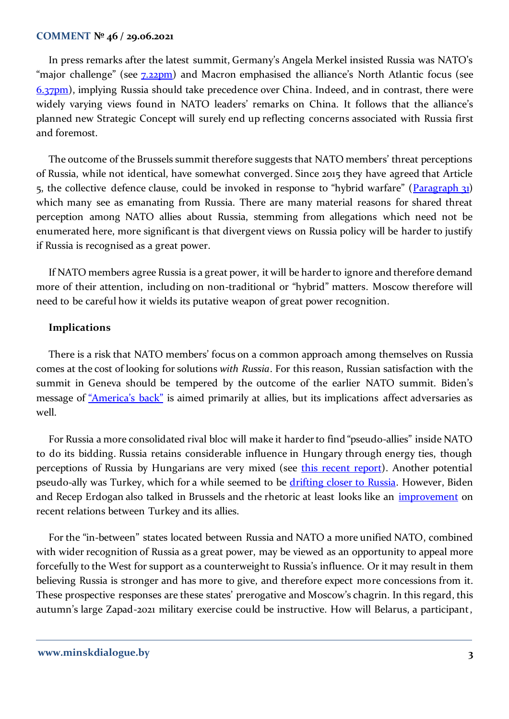#### **COMMENT № 46 / 29.06.2021**

In press remarks after the latest summit, Germany's Angela Merkel insisted Russia was NATO's "major challenge" (see  $\frac{7.22pm}{ }$ ) and Macron emphasised the alliance's North Atlantic focus (see [6.37pm\)](https://www.politico.eu/article/live-blog-nato-eu-us-summit-joe-biden-jens-stoltenberg-russia-china-cybersecurity/), implying Russia should take precedence over China. Indeed, and in contrast, there were widely varying views found in NATO leaders' remarks on China. It follows that the alliance's planned new Strategic Concept will surely end up reflecting concerns associated with Russia first and foremost.

The outcome of the Brussels summit therefore suggests that NATO members' threat perceptions of Russia, while not identical, have somewhat converged. Since 2015 they have agreed that Article 5, the collective defence clause, could be invoked in response to "hybrid warfare" ( $\frac{P}{q}$ which many see as emanating from Russia. There are many material reasons for shared threat perception among NATO allies about Russia, stemming from allegations which need not be enumerated here, more significant is that divergent views on Russia policy will be harder to justify if Russia is recognised as a great power.

If NATO members agree Russia is a great power, it will be harder to ignore and therefore demand more of their attention, including on non-traditional or "hybrid" matters. Moscow therefore will need to be careful how it wields its putative weapon of great power recognition.

#### **Implications**

There is a risk that NATO members' focus on a common approach among themselves on Russia comes at the cost of looking for solutions *with Russia*. For this reason, Russian satisfaction with the summit in Geneva should be tempered by the outcome of the earlier NATO summit. Biden's message of ["America's back"](https://www.whitehouse.gov/briefing-room/speeches-remarks/2021/02/04/remarks-by-president-biden-on-americas-place-in-the-world/) is aimed primarily at allies, but its implications affect adversaries as well.

For Russia a more consolidated rival bloc will make it harder to find "pseudo-allies" inside NATO to do its bidding. Russia retains considerable influence in Hungary through energy ties, though perceptions of Russia by Hungarians are very mixed (see [this recent report\)](https://www.globsec.org/wp-content/uploads/2021/04/Image-of-Russia-Mighty-Slavic-Brother-or-Hungry-Bear-Nextdoor-spreads.pdf). Another potential pseudo-ally was Turkey, which for a while seemed to be [drifting closer to Russia.](https://minskdialogue.by/en/research/opinions/could-turkey-defect-from-nato-to-russia) However, Biden and Recep Erdogan also talked in Brussels and the rhetoric at least looks like an *improvement* on recent relations between Turkey and its allies.

For the "in-between" states located between Russia and NATO a more unified NATO, combined with wider recognition of Russia as a great power, may be viewed as an opportunity to appeal more forcefully to the West for support as a counterweight to Russia's influence. Or it may result in them believing Russia is stronger and has more to give, and therefore expect more concessions from it. These prospective responses are these states' prerogative and Moscow's chagrin. In this regard, this autumn's large Zapad-2021 military exercise could be instructive. How will Belarus, a participant,